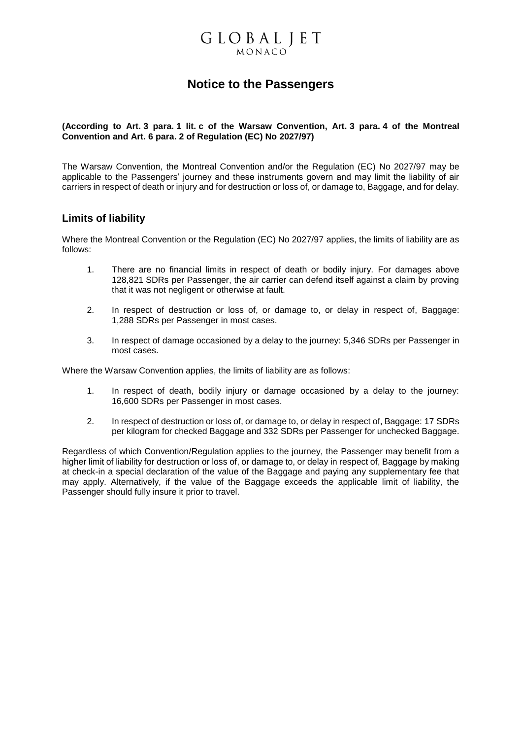### **Notice to the Passengers**

#### **(According to Art. 3 para. 1 lit. c of the Warsaw Convention, Art. 3 para. 4 of the Montreal Convention and Art. 6 para. 2 of Regulation (EC) No 2027/97)**

The Warsaw Convention, the Montreal Convention and/or the Regulation (EC) No 2027/97 may be applicable to the Passengers' journey and these instruments govern and may limit the liability of air carriers in respect of death or injury and for destruction or loss of, or damage to, Baggage, and for delay.

#### **Limits of liability**

Where the Montreal Convention or the Regulation (EC) No 2027/97 applies, the limits of liability are as follows:

- 1. There are no financial limits in respect of death or bodily injury. For damages above 128,821 SDRs per Passenger, the air carrier can defend itself against a claim by proving that it was not negligent or otherwise at fault.
- 2. In respect of destruction or loss of, or damage to, or delay in respect of, Baggage: 1,288 SDRs per Passenger in most cases.
- 3. In respect of damage occasioned by a delay to the journey: 5,346 SDRs per Passenger in most cases.

Where the Warsaw Convention applies, the limits of liability are as follows:

- 1. In respect of death, bodily injury or damage occasioned by a delay to the journey: 16,600 SDRs per Passenger in most cases.
- 2. In respect of destruction or loss of, or damage to, or delay in respect of, Baggage: 17 SDRs per kilogram for checked Baggage and 332 SDRs per Passenger for unchecked Baggage.

Regardless of which Convention/Regulation applies to the journey, the Passenger may benefit from a higher limit of liability for destruction or loss of, or damage to, or delay in respect of, Baggage by making at check-in a special declaration of the value of the Baggage and paying any supplementary fee that may apply. Alternatively, if the value of the Baggage exceeds the applicable limit of liability, the Passenger should fully insure it prior to travel.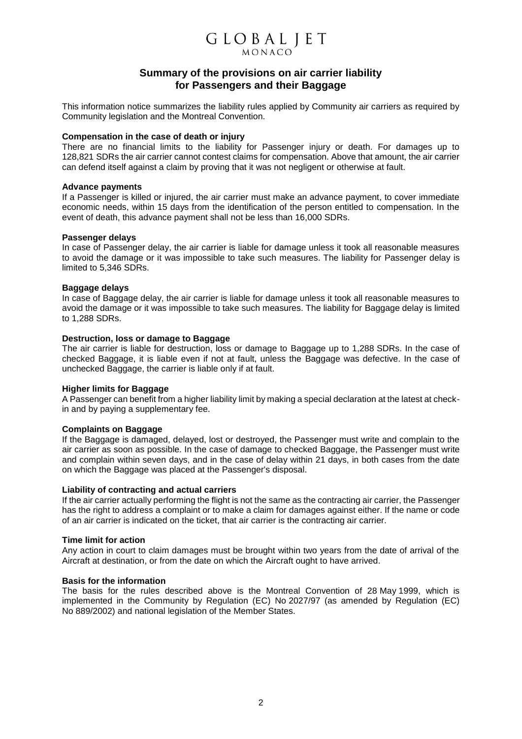#### **Summary of the provisions on air carrier liability for Passengers and their Baggage**

This information notice summarizes the liability rules applied by Community air carriers as required by Community legislation and the Montreal Convention.

#### **Compensation in the case of death or injury**

There are no financial limits to the liability for Passenger injury or death. For damages up to 128,821 SDRs the air carrier cannot contest claims for compensation. Above that amount, the air carrier can defend itself against a claim by proving that it was not negligent or otherwise at fault.

#### **Advance payments**

If a Passenger is killed or injured, the air carrier must make an advance payment, to cover immediate economic needs, within 15 days from the identification of the person entitled to compensation. In the event of death, this advance payment shall not be less than 16,000 SDRs.

#### **Passenger delays**

In case of Passenger delay, the air carrier is liable for damage unless it took all reasonable measures to avoid the damage or it was impossible to take such measures. The liability for Passenger delay is limited to 5,346 SDRs.

#### **Baggage delays**

In case of Baggage delay, the air carrier is liable for damage unless it took all reasonable measures to avoid the damage or it was impossible to take such measures. The liability for Baggage delay is limited to 1,288 SDRs.

#### **Destruction, loss or damage to Baggage**

The air carrier is liable for destruction, loss or damage to Baggage up to 1,288 SDRs. In the case of checked Baggage, it is liable even if not at fault, unless the Baggage was defective. In the case of unchecked Baggage, the carrier is liable only if at fault.

#### **Higher limits for Baggage**

A Passenger can benefit from a higher liability limit by making a special declaration at the latest at checkin and by paying a supplementary fee.

#### **Complaints on Baggage**

If the Baggage is damaged, delayed, lost or destroyed, the Passenger must write and complain to the air carrier as soon as possible. In the case of damage to checked Baggage, the Passenger must write and complain within seven days, and in the case of delay within 21 days, in both cases from the date on which the Baggage was placed at the Passenger's disposal.

#### **Liability of contracting and actual carriers**

If the air carrier actually performing the flight is not the same as the contracting air carrier, the Passenger has the right to address a complaint or to make a claim for damages against either. If the name or code of an air carrier is indicated on the ticket, that air carrier is the contracting air carrier.

#### **Time limit for action**

Any action in court to claim damages must be brought within two years from the date of arrival of the Aircraft at destination, or from the date on which the Aircraft ought to have arrived.

#### **Basis for the information**

The basis for the rules described above is the Montreal Convention of 28 May 1999, which is implemented in the Community by Regulation (EC) No 2027/97 (as amended by Regulation (EC) No 889/2002) and national legislation of the Member States.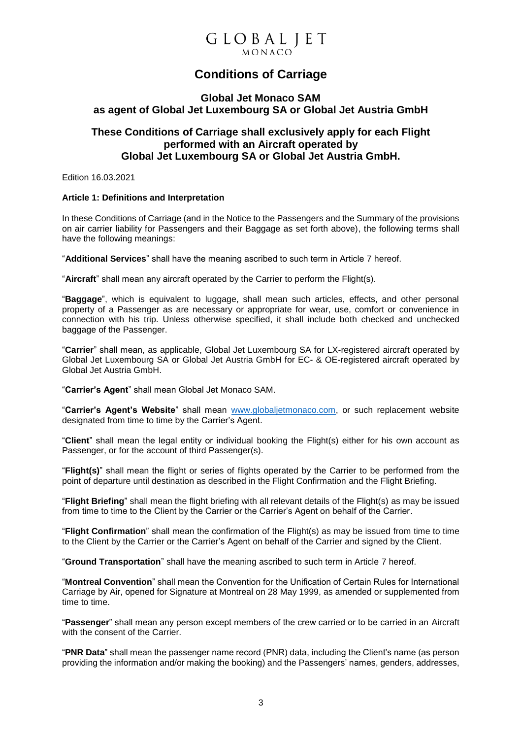### **Conditions of Carriage**

#### **Global Jet Monaco SAM as agent of Global Jet Luxembourg SA or Global Jet Austria GmbH**

#### **These Conditions of Carriage shall exclusively apply for each Flight performed with an Aircraft operated by Global Jet Luxembourg SA or Global Jet Austria GmbH.**

Edition 16.03.2021

#### **Article 1: Definitions and Interpretation**

In these Conditions of Carriage (and in the Notice to the Passengers and the Summary of the provisions on air carrier liability for Passengers and their Baggage as set forth above), the following terms shall have the following meanings:

"**Additional Services**" shall have the meaning ascribed to such term in Article 7 hereof.

"**Aircraft**" shall mean any aircraft operated by the Carrier to perform the Flight(s).

"**Baggage**", which is equivalent to luggage, shall mean such articles, effects, and other personal property of a Passenger as are necessary or appropriate for wear, use, comfort or convenience in connection with his trip. Unless otherwise specified, it shall include both checked and unchecked baggage of the Passenger.

"**Carrier**" shall mean, as applicable, Global Jet Luxembourg SA for LX-registered aircraft operated by Global Jet Luxembourg SA or Global Jet Austria GmbH for EC- & OE-registered aircraft operated by Global Jet Austria GmbH.

"**Carrier's Agent**" shall mean Global Jet Monaco SAM.

"**Carrier's Agent's Website**" shall mean [www.globaljetmonaco.com,](http://www.globaljetmonaco.com/) or such replacement website designated from time to time by the Carrier's Agent.

"**Client**" shall mean the legal entity or individual booking the Flight(s) either for his own account as Passenger, or for the account of third Passenger(s).

"**Flight(s)**" shall mean the flight or series of flights operated by the Carrier to be performed from the point of departure until destination as described in the Flight Confirmation and the Flight Briefing.

"**Flight Briefing**" shall mean the flight briefing with all relevant details of the Flight(s) as may be issued from time to time to the Client by the Carrier or the Carrier's Agent on behalf of the Carrier.

"**Flight Confirmation**" shall mean the confirmation of the Flight(s) as may be issued from time to time to the Client by the Carrier or the Carrier's Agent on behalf of the Carrier and signed by the Client.

"**Ground Transportation**" shall have the meaning ascribed to such term in Article 7 hereof.

"**Montreal Convention**" shall mean the Convention for the Unification of Certain Rules for International Carriage by Air, opened for Signature at Montreal on 28 May 1999, as amended or supplemented from time to time.

"**Passenger**" shall mean any person except members of the crew carried or to be carried in an Aircraft with the consent of the Carrier.

"**PNR Data**" shall mean the passenger name record (PNR) data, including the Client's name (as person providing the information and/or making the booking) and the Passengers' names, genders, addresses,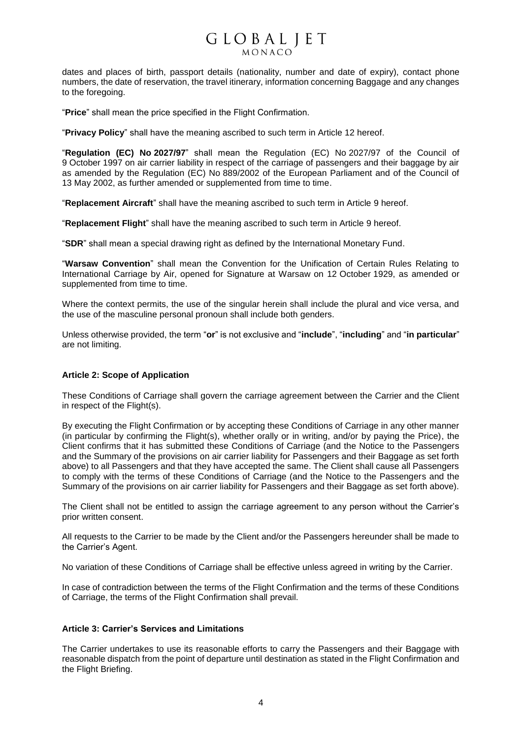dates and places of birth, passport details (nationality, number and date of expiry), contact phone numbers, the date of reservation, the travel itinerary, information concerning Baggage and any changes to the foregoing.

"**Price**" shall mean the price specified in the Flight Confirmation.

"**Privacy Policy**" shall have the meaning ascribed to such term in Article 12 hereof.

"**Regulation (EC) No 2027/97**" shall mean the Regulation (EC) No 2027/97 of the Council of 9 October 1997 on air carrier liability in respect of the carriage of passengers and their baggage by air as amended by the Regulation (EC) No 889/2002 of the European Parliament and of the Council of 13 May 2002, as further amended or supplemented from time to time.

"**Replacement Aircraft**" shall have the meaning ascribed to such term in Article 9 hereof.

"**Replacement Flight**" shall have the meaning ascribed to such term in Article 9 hereof.

"**SDR**" shall mean a special drawing right as defined by the International Monetary Fund.

"**Warsaw Convention**" shall mean the Convention for the Unification of Certain Rules Relating to International Carriage by Air, opened for Signature at Warsaw on 12 October 1929, as amended or supplemented from time to time.

Where the context permits, the use of the singular herein shall include the plural and vice versa, and the use of the masculine personal pronoun shall include both genders.

Unless otherwise provided, the term "**or**" is not exclusive and "**include**", "**including**" and "**in particular**" are not limiting.

#### **Article 2: Scope of Application**

These Conditions of Carriage shall govern the carriage agreement between the Carrier and the Client in respect of the Flight(s).

By executing the Flight Confirmation or by accepting these Conditions of Carriage in any other manner (in particular by confirming the Flight(s), whether orally or in writing, and/or by paying the Price), the Client confirms that it has submitted these Conditions of Carriage (and the Notice to the Passengers and the Summary of the provisions on air carrier liability for Passengers and their Baggage as set forth above) to all Passengers and that they have accepted the same. The Client shall cause all Passengers to comply with the terms of these Conditions of Carriage (and the Notice to the Passengers and the Summary of the provisions on air carrier liability for Passengers and their Baggage as set forth above).

The Client shall not be entitled to assign the carriage agreement to any person without the Carrier's prior written consent.

All requests to the Carrier to be made by the Client and/or the Passengers hereunder shall be made to the Carrier's Agent.

No variation of these Conditions of Carriage shall be effective unless agreed in writing by the Carrier.

In case of contradiction between the terms of the Flight Confirmation and the terms of these Conditions of Carriage, the terms of the Flight Confirmation shall prevail.

#### **Article 3: Carrier's Services and Limitations**

The Carrier undertakes to use its reasonable efforts to carry the Passengers and their Baggage with reasonable dispatch from the point of departure until destination as stated in the Flight Confirmation and the Flight Briefing.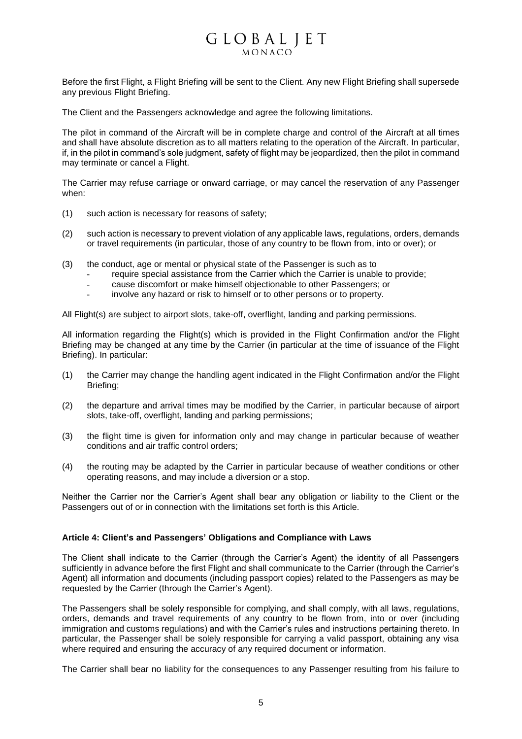Before the first Flight, a Flight Briefing will be sent to the Client. Any new Flight Briefing shall supersede any previous Flight Briefing.

The Client and the Passengers acknowledge and agree the following limitations.

The pilot in command of the Aircraft will be in complete charge and control of the Aircraft at all times and shall have absolute discretion as to all matters relating to the operation of the Aircraft. In particular, if, in the pilot in command's sole judgment, safety of flight may be jeopardized, then the pilot in command may terminate or cancel a Flight.

The Carrier may refuse carriage or onward carriage, or may cancel the reservation of any Passenger when:

- (1) such action is necessary for reasons of safety;
- (2) such action is necessary to prevent violation of any applicable laws, regulations, orders, demands or travel requirements (in particular, those of any country to be flown from, into or over); or
- (3) the conduct, age or mental or physical state of the Passenger is such as to
	- require special assistance from the Carrier which the Carrier is unable to provide;
	- cause discomfort or make himself objectionable to other Passengers; or
	- involve any hazard or risk to himself or to other persons or to property.

All Flight(s) are subject to airport slots, take-off, overflight, landing and parking permissions.

All information regarding the Flight(s) which is provided in the Flight Confirmation and/or the Flight Briefing may be changed at any time by the Carrier (in particular at the time of issuance of the Flight Briefing). In particular:

- (1) the Carrier may change the handling agent indicated in the Flight Confirmation and/or the Flight Briefing;
- (2) the departure and arrival times may be modified by the Carrier, in particular because of airport slots, take-off, overflight, landing and parking permissions;
- (3) the flight time is given for information only and may change in particular because of weather conditions and air traffic control orders;
- (4) the routing may be adapted by the Carrier in particular because of weather conditions or other operating reasons, and may include a diversion or a stop.

Neither the Carrier nor the Carrier's Agent shall bear any obligation or liability to the Client or the Passengers out of or in connection with the limitations set forth is this Article.

#### **Article 4: Client's and Passengers' Obligations and Compliance with Laws**

The Client shall indicate to the Carrier (through the Carrier's Agent) the identity of all Passengers sufficiently in advance before the first Flight and shall communicate to the Carrier (through the Carrier's Agent) all information and documents (including passport copies) related to the Passengers as may be requested by the Carrier (through the Carrier's Agent).

The Passengers shall be solely responsible for complying, and shall comply, with all laws, regulations, orders, demands and travel requirements of any country to be flown from, into or over (including immigration and customs regulations) and with the Carrier's rules and instructions pertaining thereto. In particular, the Passenger shall be solely responsible for carrying a valid passport, obtaining any visa where required and ensuring the accuracy of any required document or information.

The Carrier shall bear no liability for the consequences to any Passenger resulting from his failure to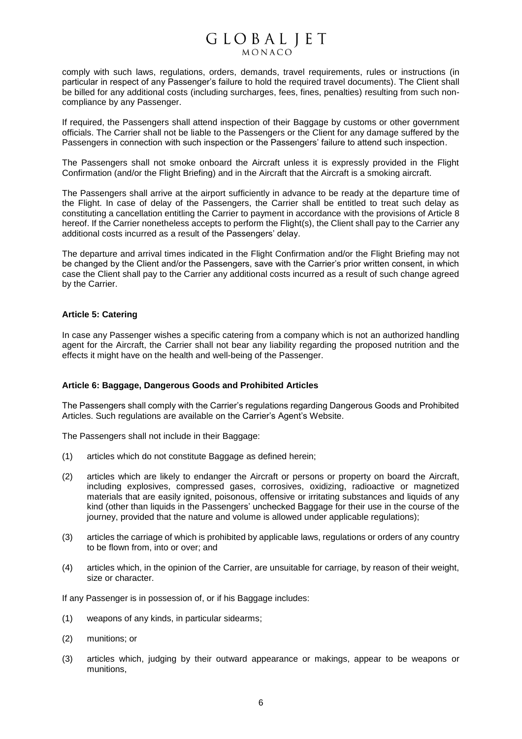comply with such laws, regulations, orders, demands, travel requirements, rules or instructions (in particular in respect of any Passenger's failure to hold the required travel documents). The Client shall be billed for any additional costs (including surcharges, fees, fines, penalties) resulting from such noncompliance by any Passenger.

If required, the Passengers shall attend inspection of their Baggage by customs or other government officials. The Carrier shall not be liable to the Passengers or the Client for any damage suffered by the Passengers in connection with such inspection or the Passengers' failure to attend such inspection.

The Passengers shall not smoke onboard the Aircraft unless it is expressly provided in the Flight Confirmation (and/or the Flight Briefing) and in the Aircraft that the Aircraft is a smoking aircraft.

The Passengers shall arrive at the airport sufficiently in advance to be ready at the departure time of the Flight. In case of delay of the Passengers, the Carrier shall be entitled to treat such delay as constituting a cancellation entitling the Carrier to payment in accordance with the provisions of Article 8 hereof. If the Carrier nonetheless accepts to perform the Flight(s), the Client shall pay to the Carrier any additional costs incurred as a result of the Passengers' delay.

The departure and arrival times indicated in the Flight Confirmation and/or the Flight Briefing may not be changed by the Client and/or the Passengers, save with the Carrier's prior written consent, in which case the Client shall pay to the Carrier any additional costs incurred as a result of such change agreed by the Carrier.

#### **Article 5: Catering**

In case any Passenger wishes a specific catering from a company which is not an authorized handling agent for the Aircraft, the Carrier shall not bear any liability regarding the proposed nutrition and the effects it might have on the health and well-being of the Passenger.

#### **Article 6: Baggage, Dangerous Goods and Prohibited Articles**

The Passengers shall comply with the Carrier's regulations regarding Dangerous Goods and Prohibited Articles. Such regulations are available on the Carrier's Agent's Website.

The Passengers shall not include in their Baggage:

- (1) articles which do not constitute Baggage as defined herein;
- (2) articles which are likely to endanger the Aircraft or persons or property on board the Aircraft, including explosives, compressed gases, corrosives, oxidizing, radioactive or magnetized materials that are easily ignited, poisonous, offensive or irritating substances and liquids of any kind (other than liquids in the Passengers' unchecked Baggage for their use in the course of the journey, provided that the nature and volume is allowed under applicable regulations);
- (3) articles the carriage of which is prohibited by applicable laws, regulations or orders of any country to be flown from, into or over; and
- (4) articles which, in the opinion of the Carrier, are unsuitable for carriage, by reason of their weight, size or character.

If any Passenger is in possession of, or if his Baggage includes:

- (1) weapons of any kinds, in particular sidearms;
- (2) munitions; or
- (3) articles which, judging by their outward appearance or makings, appear to be weapons or munitions,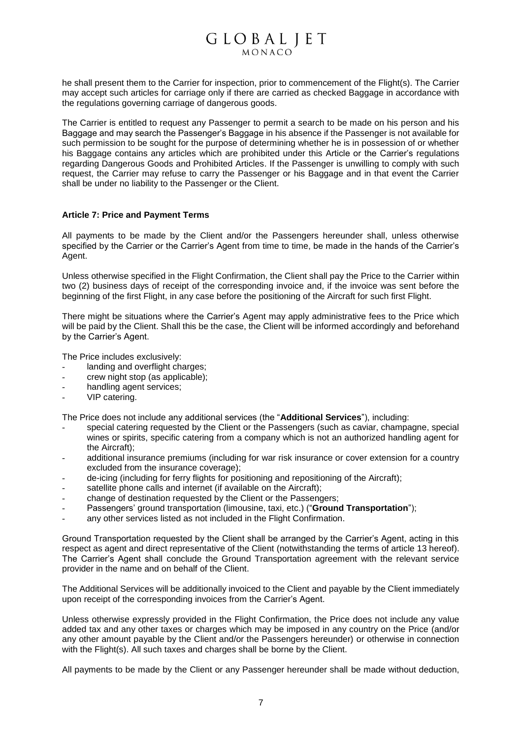he shall present them to the Carrier for inspection, prior to commencement of the Flight(s). The Carrier may accept such articles for carriage only if there are carried as checked Baggage in accordance with the regulations governing carriage of dangerous goods.

The Carrier is entitled to request any Passenger to permit a search to be made on his person and his Baggage and may search the Passenger's Baggage in his absence if the Passenger is not available for such permission to be sought for the purpose of determining whether he is in possession of or whether his Baggage contains any articles which are prohibited under this Article or the Carrier's regulations regarding Dangerous Goods and Prohibited Articles. If the Passenger is unwilling to comply with such request, the Carrier may refuse to carry the Passenger or his Baggage and in that event the Carrier shall be under no liability to the Passenger or the Client.

#### **Article 7: Price and Payment Terms**

All payments to be made by the Client and/or the Passengers hereunder shall, unless otherwise specified by the Carrier or the Carrier's Agent from time to time, be made in the hands of the Carrier's Agent.

Unless otherwise specified in the Flight Confirmation, the Client shall pay the Price to the Carrier within two (2) business days of receipt of the corresponding invoice and, if the invoice was sent before the beginning of the first Flight, in any case before the positioning of the Aircraft for such first Flight.

There might be situations where the Carrier's Agent may apply administrative fees to the Price which will be paid by the Client. Shall this be the case, the Client will be informed accordingly and beforehand by the Carrier's Agent.

The Price includes exclusively:

- landing and overflight charges;
- crew night stop (as applicable);
- handling agent services;
- VIP catering.

The Price does not include any additional services (the "**Additional Services**"), including:

- special catering requested by the Client or the Passengers (such as caviar, champagne, special wines or spirits, specific catering from a company which is not an authorized handling agent for the Aircraft);
- additional insurance premiums (including for war risk insurance or cover extension for a country excluded from the insurance coverage);
- de-icing (including for ferry flights for positioning and repositioning of the Aircraft);
- satellite phone calls and internet (if available on the Aircraft);
- change of destination requested by the Client or the Passengers;
- Passengers' ground transportation (limousine, taxi, etc.) ("Ground Transportation");
- any other services listed as not included in the Flight Confirmation.

Ground Transportation requested by the Client shall be arranged by the Carrier's Agent, acting in this respect as agent and direct representative of the Client (notwithstanding the terms of article 13 hereof). The Carrier's Agent shall conclude the Ground Transportation agreement with the relevant service provider in the name and on behalf of the Client.

The Additional Services will be additionally invoiced to the Client and payable by the Client immediately upon receipt of the corresponding invoices from the Carrier's Agent.

Unless otherwise expressly provided in the Flight Confirmation, the Price does not include any value added tax and any other taxes or charges which may be imposed in any country on the Price (and/or any other amount payable by the Client and/or the Passengers hereunder) or otherwise in connection with the Flight(s). All such taxes and charges shall be borne by the Client.

All payments to be made by the Client or any Passenger hereunder shall be made without deduction,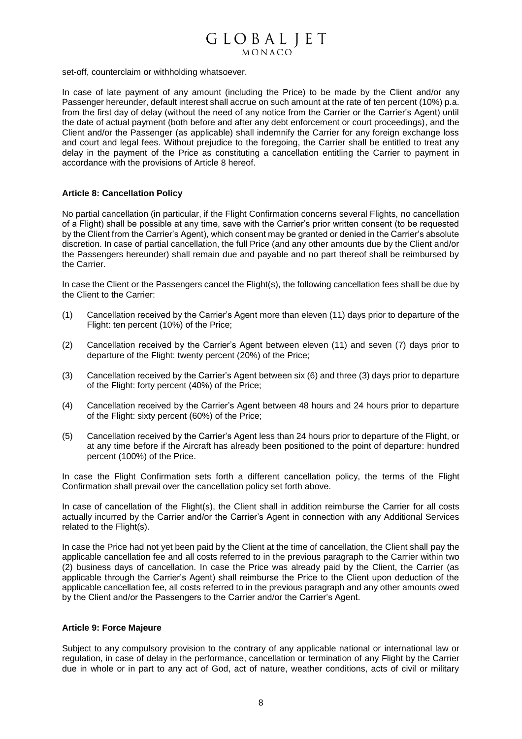### GLOBALIET

set-off, counterclaim or withholding whatsoever.

In case of late payment of any amount (including the Price) to be made by the Client and/or any Passenger hereunder, default interest shall accrue on such amount at the rate of ten percent (10%) p.a. from the first day of delay (without the need of any notice from the Carrier or the Carrier's Agent) until the date of actual payment (both before and after any debt enforcement or court proceedings), and the Client and/or the Passenger (as applicable) shall indemnify the Carrier for any foreign exchange loss and court and legal fees. Without prejudice to the foregoing, the Carrier shall be entitled to treat any delay in the payment of the Price as constituting a cancellation entitling the Carrier to payment in accordance with the provisions of Article 8 hereof.

#### **Article 8: Cancellation Policy**

No partial cancellation (in particular, if the Flight Confirmation concerns several Flights, no cancellation of a Flight) shall be possible at any time, save with the Carrier's prior written consent (to be requested by the Client from the Carrier's Agent), which consent may be granted or denied in the Carrier's absolute discretion. In case of partial cancellation, the full Price (and any other amounts due by the Client and/or the Passengers hereunder) shall remain due and payable and no part thereof shall be reimbursed by the Carrier.

In case the Client or the Passengers cancel the Flight(s), the following cancellation fees shall be due by the Client to the Carrier:

- (1) Cancellation received by the Carrier's Agent more than eleven (11) days prior to departure of the Flight: ten percent (10%) of the Price;
- (2) Cancellation received by the Carrier's Agent between eleven (11) and seven (7) days prior to departure of the Flight: twenty percent (20%) of the Price;
- (3) Cancellation received by the Carrier's Agent between six (6) and three (3) days prior to departure of the Flight: forty percent (40%) of the Price;
- (4) Cancellation received by the Carrier's Agent between 48 hours and 24 hours prior to departure of the Flight: sixty percent (60%) of the Price;
- (5) Cancellation received by the Carrier's Agent less than 24 hours prior to departure of the Flight, or at any time before if the Aircraft has already been positioned to the point of departure: hundred percent (100%) of the Price.

In case the Flight Confirmation sets forth a different cancellation policy, the terms of the Flight Confirmation shall prevail over the cancellation policy set forth above.

In case of cancellation of the Flight(s), the Client shall in addition reimburse the Carrier for all costs actually incurred by the Carrier and/or the Carrier's Agent in connection with any Additional Services related to the Flight(s).

In case the Price had not yet been paid by the Client at the time of cancellation, the Client shall pay the applicable cancellation fee and all costs referred to in the previous paragraph to the Carrier within two (2) business days of cancellation. In case the Price was already paid by the Client, the Carrier (as applicable through the Carrier's Agent) shall reimburse the Price to the Client upon deduction of the applicable cancellation fee, all costs referred to in the previous paragraph and any other amounts owed by the Client and/or the Passengers to the Carrier and/or the Carrier's Agent.

#### **Article 9: Force Majeure**

Subject to any compulsory provision to the contrary of any applicable national or international law or regulation, in case of delay in the performance, cancellation or termination of any Flight by the Carrier due in whole or in part to any act of God, act of nature, weather conditions, acts of civil or military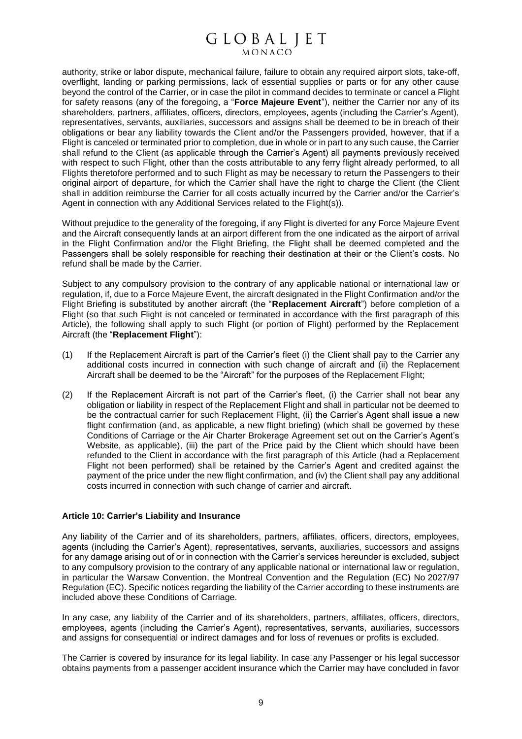authority, strike or labor dispute, mechanical failure, failure to obtain any required airport slots, take-off, overflight, landing or parking permissions, lack of essential supplies or parts or for any other cause beyond the control of the Carrier, or in case the pilot in command decides to terminate or cancel a Flight for safety reasons (any of the foregoing, a "**Force Majeure Event**"), neither the Carrier nor any of its shareholders, partners, affiliates, officers, directors, employees, agents (including the Carrier's Agent), representatives, servants, auxiliaries, successors and assigns shall be deemed to be in breach of their obligations or bear any liability towards the Client and/or the Passengers provided, however, that if a Flight is canceled or terminated prior to completion, due in whole or in part to any such cause, the Carrier shall refund to the Client (as applicable through the Carrier's Agent) all payments previously received with respect to such Flight, other than the costs attributable to any ferry flight already performed, to all Flights theretofore performed and to such Flight as may be necessary to return the Passengers to their original airport of departure, for which the Carrier shall have the right to charge the Client (the Client shall in addition reimburse the Carrier for all costs actually incurred by the Carrier and/or the Carrier's Agent in connection with any Additional Services related to the Flight(s)).

Without prejudice to the generality of the foregoing, if any Flight is diverted for any Force Majeure Event and the Aircraft consequently lands at an airport different from the one indicated as the airport of arrival in the Flight Confirmation and/or the Flight Briefing, the Flight shall be deemed completed and the Passengers shall be solely responsible for reaching their destination at their or the Client's costs. No refund shall be made by the Carrier.

Subject to any compulsory provision to the contrary of any applicable national or international law or regulation, if, due to a Force Majeure Event, the aircraft designated in the Flight Confirmation and/or the Flight Briefing is substituted by another aircraft (the "**Replacement Aircraft**") before completion of a Flight (so that such Flight is not canceled or terminated in accordance with the first paragraph of this Article), the following shall apply to such Flight (or portion of Flight) performed by the Replacement Aircraft (the "**Replacement Flight**"):

- (1) If the Replacement Aircraft is part of the Carrier's fleet (i) the Client shall pay to the Carrier any additional costs incurred in connection with such change of aircraft and (ii) the Replacement Aircraft shall be deemed to be the "Aircraft" for the purposes of the Replacement Flight;
- (2) If the Replacement Aircraft is not part of the Carrier's fleet, (i) the Carrier shall not bear any obligation or liability in respect of the Replacement Flight and shall in particular not be deemed to be the contractual carrier for such Replacement Flight, (ii) the Carrier's Agent shall issue a new flight confirmation (and, as applicable, a new flight briefing) (which shall be governed by these Conditions of Carriage or the Air Charter Brokerage Agreement set out on the Carrier's Agent's Website, as applicable), (iii) the part of the Price paid by the Client which should have been refunded to the Client in accordance with the first paragraph of this Article (had a Replacement Flight not been performed) shall be retained by the Carrier's Agent and credited against the payment of the price under the new flight confirmation, and (iv) the Client shall pay any additional costs incurred in connection with such change of carrier and aircraft.

#### **Article 10: Carrier's Liability and Insurance**

Any liability of the Carrier and of its shareholders, partners, affiliates, officers, directors, employees, agents (including the Carrier's Agent), representatives, servants, auxiliaries, successors and assigns for any damage arising out of or in connection with the Carrier's services hereunder is excluded, subject to any compulsory provision to the contrary of any applicable national or international law or regulation, in particular the Warsaw Convention, the Montreal Convention and the Regulation (EC) No 2027/97 Regulation (EC). Specific notices regarding the liability of the Carrier according to these instruments are included above these Conditions of Carriage.

In any case, any liability of the Carrier and of its shareholders, partners, affiliates, officers, directors, employees, agents (including the Carrier's Agent), representatives, servants, auxiliaries, successors and assigns for consequential or indirect damages and for loss of revenues or profits is excluded.

The Carrier is covered by insurance for its legal liability. In case any Passenger or his legal successor obtains payments from a passenger accident insurance which the Carrier may have concluded in favor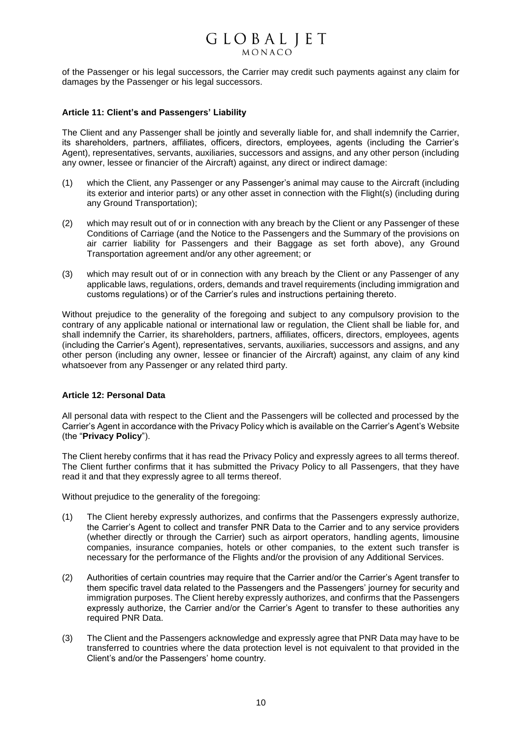of the Passenger or his legal successors, the Carrier may credit such payments against any claim for damages by the Passenger or his legal successors.

#### **Article 11: Client's and Passengers' Liability**

The Client and any Passenger shall be jointly and severally liable for, and shall indemnify the Carrier, its shareholders, partners, affiliates, officers, directors, employees, agents (including the Carrier's Agent), representatives, servants, auxiliaries, successors and assigns, and any other person (including any owner, lessee or financier of the Aircraft) against, any direct or indirect damage:

- (1) which the Client, any Passenger or any Passenger's animal may cause to the Aircraft (including its exterior and interior parts) or any other asset in connection with the Flight(s) (including during any Ground Transportation);
- (2) which may result out of or in connection with any breach by the Client or any Passenger of these Conditions of Carriage (and the Notice to the Passengers and the Summary of the provisions on air carrier liability for Passengers and their Baggage as set forth above), any Ground Transportation agreement and/or any other agreement; or
- (3) which may result out of or in connection with any breach by the Client or any Passenger of any applicable laws, regulations, orders, demands and travel requirements (including immigration and customs regulations) or of the Carrier's rules and instructions pertaining thereto.

Without prejudice to the generality of the foregoing and subject to any compulsory provision to the contrary of any applicable national or international law or regulation, the Client shall be liable for, and shall indemnify the Carrier, its shareholders, partners, affiliates, officers, directors, employees, agents (including the Carrier's Agent), representatives, servants, auxiliaries, successors and assigns, and any other person (including any owner, lessee or financier of the Aircraft) against, any claim of any kind whatsoever from any Passenger or any related third party.

#### **Article 12: Personal Data**

All personal data with respect to the Client and the Passengers will be collected and processed by the Carrier's Agent in accordance with the Privacy Policy which is available on the Carrier's Agent's Website (the "**Privacy Policy**").

The Client hereby confirms that it has read the Privacy Policy and expressly agrees to all terms thereof. The Client further confirms that it has submitted the Privacy Policy to all Passengers, that they have read it and that they expressly agree to all terms thereof.

Without prejudice to the generality of the foregoing:

- (1) The Client hereby expressly authorizes, and confirms that the Passengers expressly authorize, the Carrier's Agent to collect and transfer PNR Data to the Carrier and to any service providers (whether directly or through the Carrier) such as airport operators, handling agents, limousine companies, insurance companies, hotels or other companies, to the extent such transfer is necessary for the performance of the Flights and/or the provision of any Additional Services.
- (2) Authorities of certain countries may require that the Carrier and/or the Carrier's Agent transfer to them specific travel data related to the Passengers and the Passengers' journey for security and immigration purposes. The Client hereby expressly authorizes, and confirms that the Passengers expressly authorize, the Carrier and/or the Carrier's Agent to transfer to these authorities any required PNR Data.
- (3) The Client and the Passengers acknowledge and expressly agree that PNR Data may have to be transferred to countries where the data protection level is not equivalent to that provided in the Client's and/or the Passengers' home country.